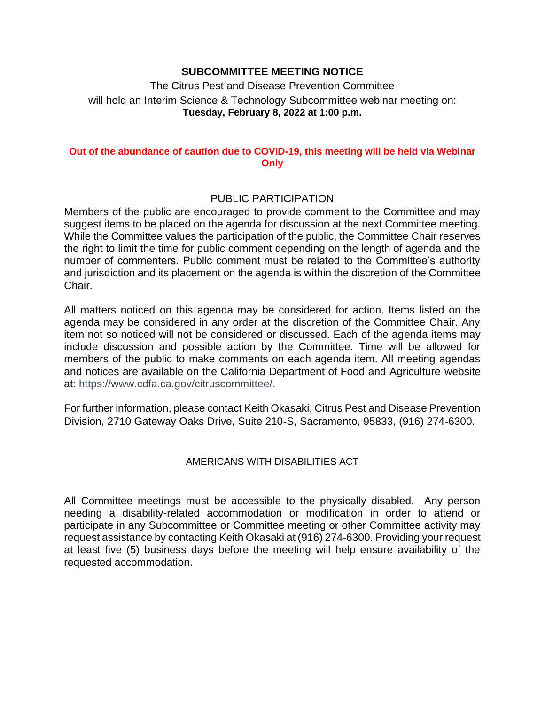## **SUBCOMMITTEE MEETING NOTICE**

 will hold an Interim Science & Technology Subcommittee webinar meeting on: The Citrus Pest and Disease Prevention Committee **Tuesday, February 8, 2022 at 1:00 p.m.** 

### **Out of the abundance of caution due to COVID-19, this meeting will be held via Webinar Only**

## PUBLIC PARTICIPATION

 Members of the public are encouraged to provide comment to the Committee and may suggest items to be placed on the agenda for discussion at the next Committee meeting. While the Committee values the participation of the public, the Committee Chair reserves the right to limit the time for public comment depending on the length of agenda and the number of commenters. Public comment must be related to the Committee's authority and jurisdiction and its placement on the agenda is within the discretion of the Committee Chair.

 All matters noticed on this agenda may be considered for action. Items listed on the agenda may be considered in any order at the discretion of the Committee Chair. Any item not so noticed will not be considered or discussed. Each of the agenda items may include discussion and possible action by the Committee. Time will be allowed for members of the public to make comments on each agenda item. All meeting agendas and notices are available on the California Department of Food and Agriculture website at: [https://www.cdfa.ca.gov/citruscommittee/.](https://www.cdfa.ca.gov/citruscommittee/)

 For further information, please contact Keith Okasaki, Citrus Pest and Disease Prevention Division, 2710 Gateway Oaks Drive, Suite 210-S, Sacramento, 95833, (916) 274-6300.

## AMERICANS WITH DISABILITIES ACT

 All Committee meetings must be accessible to the physically disabled. Any person needing a disability-related accommodation or modification in order to attend or participate in any Subcommittee or Committee meeting or other Committee activity may at least five (5) business days before the meeting will help ensure availability of the request assistance by contacting Keith Okasaki at (916) 274-6300. Providing your request requested accommodation.